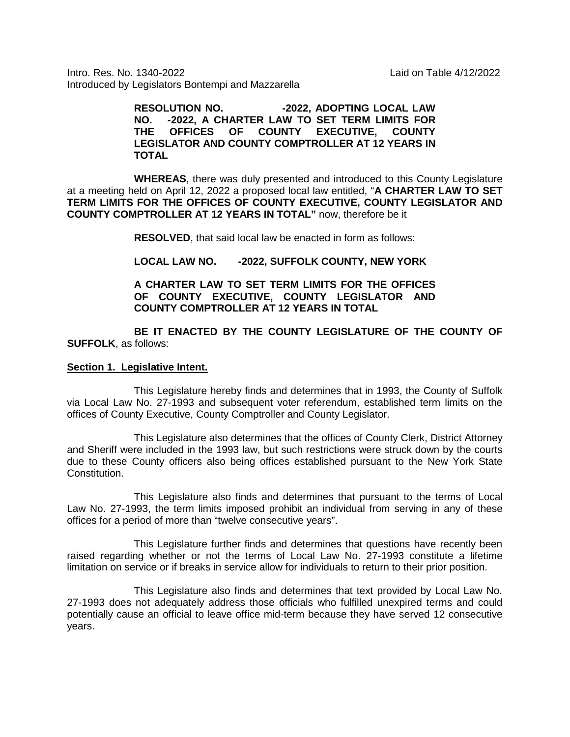Intro. Res. No. 1340-2022 Laid on Table 4/12/2022 Introduced by Legislators Bontempi and Mazzarella

> **RESOLUTION NO. -2022, ADOPTING LOCAL LAW NO. -2022, A CHARTER LAW TO SET TERM LIMITS FOR THE OFFICES OF COUNTY EXECUTIVE, COUNTY LEGISLATOR AND COUNTY COMPTROLLER AT 12 YEARS IN TOTAL**

**WHEREAS**, there was duly presented and introduced to this County Legislature at a meeting held on April 12, 2022 a proposed local law entitled, "**A CHARTER LAW TO SET TERM LIMITS FOR THE OFFICES OF COUNTY EXECUTIVE, COUNTY LEGISLATOR AND COUNTY COMPTROLLER AT 12 YEARS IN TOTAL"** now, therefore be it

**RESOLVED**, that said local law be enacted in form as follows:

#### **LOCAL LAW NO. -2022, SUFFOLK COUNTY, NEW YORK**

### **A CHARTER LAW TO SET TERM LIMITS FOR THE OFFICES OF COUNTY EXECUTIVE, COUNTY LEGISLATOR AND COUNTY COMPTROLLER AT 12 YEARS IN TOTAL**

**BE IT ENACTED BY THE COUNTY LEGISLATURE OF THE COUNTY OF SUFFOLK**, as follows:

#### **Section 1. Legislative Intent.**

This Legislature hereby finds and determines that in 1993, the County of Suffolk via Local Law No. 27-1993 and subsequent voter referendum, established term limits on the offices of County Executive, County Comptroller and County Legislator.

This Legislature also determines that the offices of County Clerk, District Attorney and Sheriff were included in the 1993 law, but such restrictions were struck down by the courts due to these County officers also being offices established pursuant to the New York State Constitution.

This Legislature also finds and determines that pursuant to the terms of Local Law No. 27-1993, the term limits imposed prohibit an individual from serving in any of these offices for a period of more than "twelve consecutive years".

This Legislature further finds and determines that questions have recently been raised regarding whether or not the terms of Local Law No. 27-1993 constitute a lifetime limitation on service or if breaks in service allow for individuals to return to their prior position.

This Legislature also finds and determines that text provided by Local Law No. 27-1993 does not adequately address those officials who fulfilled unexpired terms and could potentially cause an official to leave office mid-term because they have served 12 consecutive years.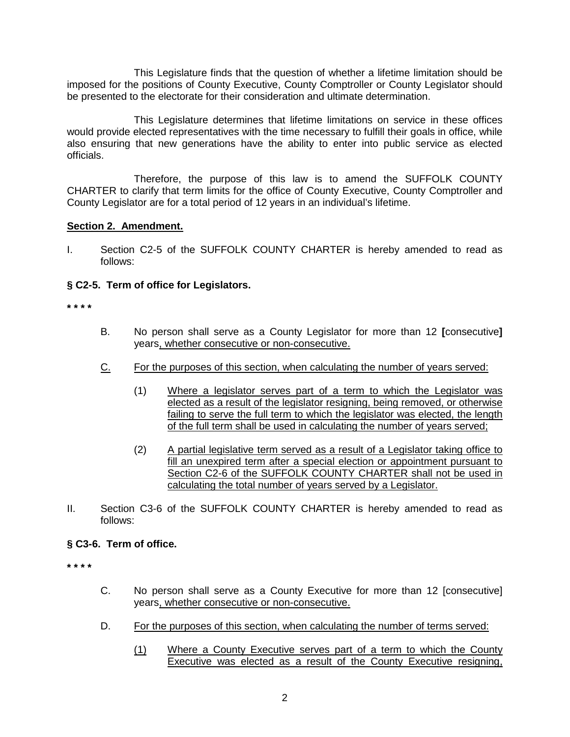This Legislature finds that the question of whether a lifetime limitation should be imposed for the positions of County Executive, County Comptroller or County Legislator should be presented to the electorate for their consideration and ultimate determination.

This Legislature determines that lifetime limitations on service in these offices would provide elected representatives with the time necessary to fulfill their goals in office, while also ensuring that new generations have the ability to enter into public service as elected officials.

Therefore, the purpose of this law is to amend the SUFFOLK COUNTY CHARTER to clarify that term limits for the office of County Executive, County Comptroller and County Legislator are for a total period of 12 years in an individual's lifetime.

# **Section 2. Amendment.**

I. Section C2-5 of the SUFFOLK COUNTY CHARTER is hereby amended to read as follows:

# **§ C2-5. Term of office for Legislators.**

**\* \* \* \***

- B. No person shall serve as a County Legislator for more than 12 **[**consecutive**]**  years, whether consecutive or non-consecutive.
- C. For the purposes of this section, when calculating the number of years served:
	- (1) Where a legislator serves part of a term to which the Legislator was elected as a result of the legislator resigning, being removed, or otherwise failing to serve the full term to which the legislator was elected, the length of the full term shall be used in calculating the number of years served;
	- (2) A partial legislative term served as a result of a Legislator taking office to fill an unexpired term after a special election or appointment pursuant to Section C2-6 of the SUFFOLK COUNTY CHARTER shall not be used in calculating the total number of years served by a Legislator.
- II. Section C3-6 of the SUFFOLK COUNTY CHARTER is hereby amended to read as follows:

# **§ C3-6. Term of office.**

**\* \* \* \***

- C. No person shall serve as a County Executive for more than 12 [consecutive] years, whether consecutive or non-consecutive.
- D. For the purposes of this section, when calculating the number of terms served:
	- (1) Where a County Executive serves part of a term to which the County Executive was elected as a result of the County Executive resigning,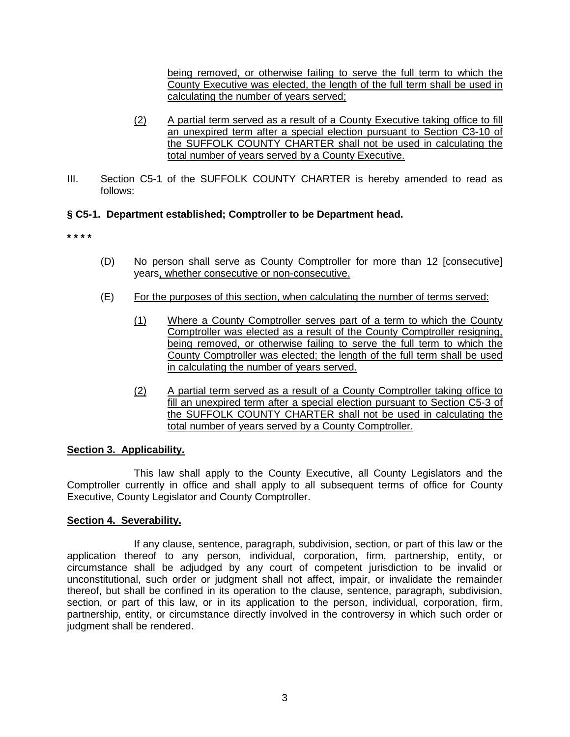being removed, or otherwise failing to serve the full term to which the County Executive was elected, the length of the full term shall be used in calculating the number of years served;

- (2) A partial term served as a result of a County Executive taking office to fill an unexpired term after a special election pursuant to Section C3-10 of the SUFFOLK COUNTY CHARTER shall not be used in calculating the total number of years served by a County Executive.
- III. Section C5-1 of the SUFFOLK COUNTY CHARTER is hereby amended to read as follows:

# **§ C5-1. Department established; Comptroller to be Department head.**

**\* \* \* \***

- (D) No person shall serve as County Comptroller for more than 12 [consecutive] years, whether consecutive or non-consecutive.
- (E) For the purposes of this section, when calculating the number of terms served:
	- (1) Where a County Comptroller serves part of a term to which the County Comptroller was elected as a result of the County Comptroller resigning, being removed, or otherwise failing to serve the full term to which the County Comptroller was elected; the length of the full term shall be used in calculating the number of years served.
	- (2) A partial term served as a result of a County Comptroller taking office to fill an unexpired term after a special election pursuant to Section C5-3 of the SUFFOLK COUNTY CHARTER shall not be used in calculating the total number of years served by a County Comptroller.

# **Section 3. Applicability.**

This law shall apply to the County Executive, all County Legislators and the Comptroller currently in office and shall apply to all subsequent terms of office for County Executive, County Legislator and County Comptroller.

# **Section 4. Severability.**

If any clause, sentence, paragraph, subdivision, section, or part of this law or the application thereof to any person, individual, corporation, firm, partnership, entity, or circumstance shall be adjudged by any court of competent jurisdiction to be invalid or unconstitutional, such order or judgment shall not affect, impair, or invalidate the remainder thereof, but shall be confined in its operation to the clause, sentence, paragraph, subdivision, section, or part of this law, or in its application to the person, individual, corporation, firm, partnership, entity, or circumstance directly involved in the controversy in which such order or judgment shall be rendered.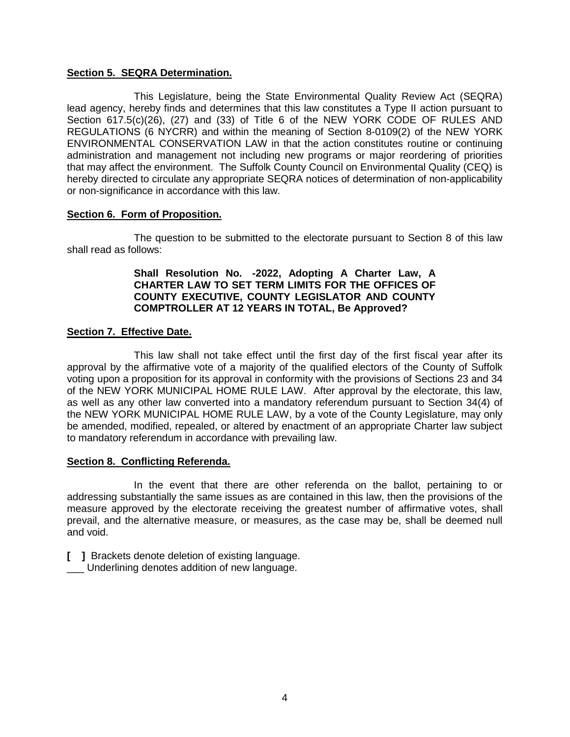#### **Section 5. SEQRA Determination.**

This Legislature, being the State Environmental Quality Review Act (SEQRA) lead agency, hereby finds and determines that this law constitutes a Type II action pursuant to Section 617.5(c)(26), (27) and (33) of Title 6 of the NEW YORK CODE OF RULES AND REGULATIONS (6 NYCRR) and within the meaning of Section 8-0109(2) of the NEW YORK ENVIRONMENTAL CONSERVATION LAW in that the action constitutes routine or continuing administration and management not including new programs or major reordering of priorities that may affect the environment. The Suffolk County Council on Environmental Quality (CEQ) is hereby directed to circulate any appropriate SEQRA notices of determination of non-applicability or non-significance in accordance with this law.

### **Section 6. Form of Proposition.**

The question to be submitted to the electorate pursuant to Section 8 of this law shall read as follows:

### **Shall Resolution No. -2022, Adopting A Charter Law, A CHARTER LAW TO SET TERM LIMITS FOR THE OFFICES OF COUNTY EXECUTIVE, COUNTY LEGISLATOR AND COUNTY COMPTROLLER AT 12 YEARS IN TOTAL, Be Approved?**

# **Section 7. Effective Date.**

This law shall not take effect until the first day of the first fiscal year after its approval by the affirmative vote of a majority of the qualified electors of the County of Suffolk voting upon a proposition for its approval in conformity with the provisions of Sections 23 and 34 of the NEW YORK MUNICIPAL HOME RULE LAW. After approval by the electorate, this law, as well as any other law converted into a mandatory referendum pursuant to Section 34(4) of the NEW YORK MUNICIPAL HOME RULE LAW, by a vote of the County Legislature, may only be amended, modified, repealed, or altered by enactment of an appropriate Charter law subject to mandatory referendum in accordance with prevailing law.

#### **Section 8. Conflicting Referenda.**

In the event that there are other referenda on the ballot, pertaining to or addressing substantially the same issues as are contained in this law, then the provisions of the measure approved by the electorate receiving the greatest number of affirmative votes, shall prevail, and the alternative measure, or measures, as the case may be, shall be deemed null and void.

**[ ]** Brackets denote deletion of existing language.

Underlining denotes addition of new language.